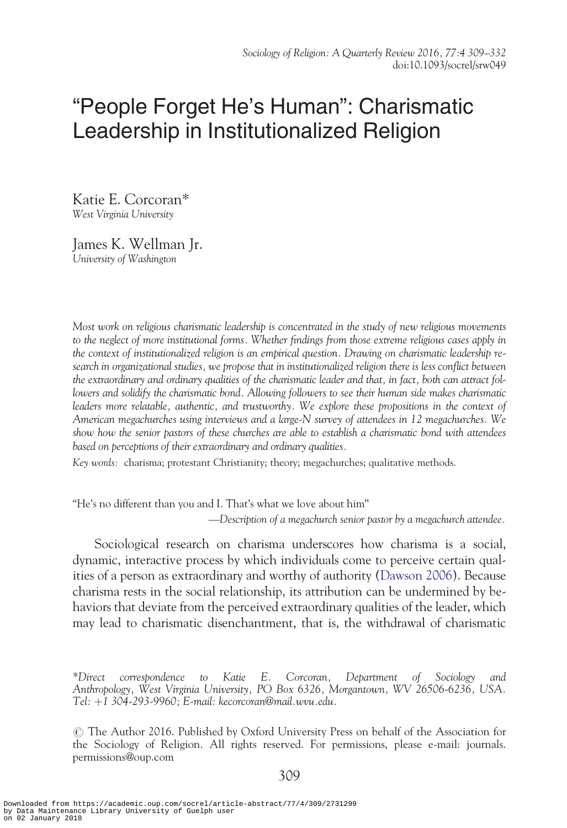# "People Forget He's Human": Charismatic Leadership in Institutionalized Religion

Katie E. Corcoran\* West Virginia University

James K. Wellman Jr. University of Washington

Most work on religious charismatic leadership is concentrated in the study of new religious movements to the neglect of more institutional forms. Whether findings from those extreme religious cases apply in the context of institutionalized religion is an empirical question. Drawing on charismatic leadership research in organizational studies, we propose that in institutionalized religion there is less conflict between the extraordinary and ordinary qualities of the charismatic leader and that, in fact, both can attract followers and solidify the charismatic bond. Allowing followers to see their human side makes charismatic leaders more relatable, authentic, and trustworthy. We explore these propositions in the context of American megachurches using interviews and a large-N survey of attendees in 12 megachurches. We show how the senior pastors of these churches are able to establish a charismatic bond with attendees based on perceptions of their extraordinary and ordinary qualities.

Key words: charisma; protestant Christianity; theory; megachurches; qualitative methods.

"He's no different than you and I. That's what we love about him"

—Description of a megachurch senior pastor by a megachurch attendee.

Sociological research on charisma underscores how charisma is a social, dynamic, interactive process by which individuals come to perceive certain qualities of a person as extraordinary and worthy of authority ([Dawson 2006\)](#page-21-0). Because charisma rests in the social relationship, its attribution can be undermined by behaviors that deviate from the perceived extraordinary qualities of the leader, which may lead to charismatic disenchantment, that is, the withdrawal of charismatic

\*Direct correspondence to Katie E. Corcoran, Department of Sociology and Anthropology, West Virginia University, PO Box 6326, Morgantown, WV 26506-6236, USA. Tel: þ1 304-293-9960; E-mail: kecorcoran@mail.wvu.edu.

# The Author 2016. Published by Oxford University Press on behalf of the Association for the Sociology of Religion. All rights reserved. For permissions, please e-mail: journals. permissions@oup.com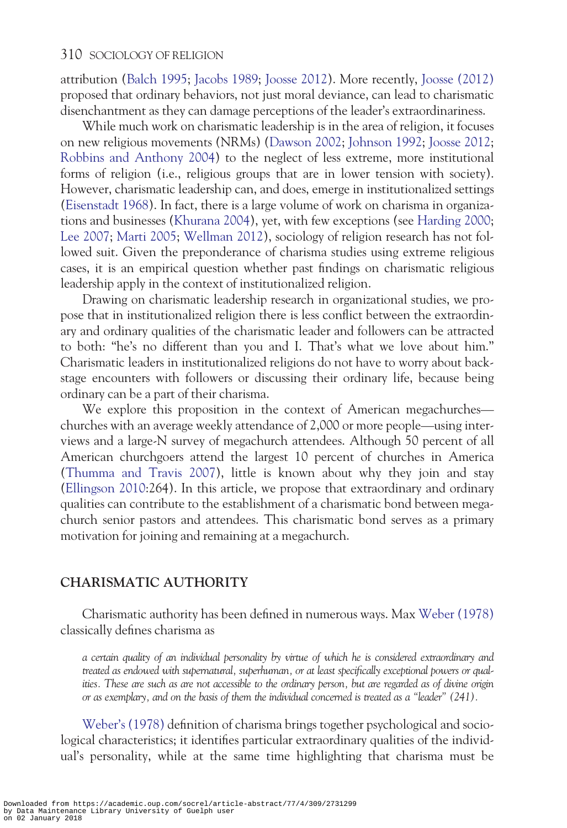attribution ([Balch 1995;](#page-20-0) [Jacobs 1989](#page-21-0); [Joosse 2012](#page-21-0)). More recently, [Joosse \(2012\)](#page-21-0) proposed that ordinary behaviors, not just moral deviance, can lead to charismatic disenchantment as they can damage perceptions of the leader's extraordinariness.

While much work on charismatic leadership is in the area of religion, it focuses on new religious movements (NRMs) [\(Dawson 2002](#page-21-0); [Johnson 1992;](#page-21-0) [Joosse 2012](#page-21-0); [Robbins and Anthony 2004\)](#page-22-0) to the neglect of less extreme, more institutional forms of religion (i.e., religious groups that are in lower tension with society). However, charismatic leadership can, and does, emerge in institutionalized settings [\(Eisenstadt 1968\)](#page-21-0). In fact, there is a large volume of work on charisma in organizations and businesses ([Khurana 2004](#page-22-0)), yet, with few exceptions (see [Harding 2000](#page-21-0); [Lee 2007;](#page-22-0) [Marti 2005;](#page-22-0) [Wellman 2012](#page-23-0)), sociology of religion research has not followed suit. Given the preponderance of charisma studies using extreme religious cases, it is an empirical question whether past findings on charismatic religious leadership apply in the context of institutionalized religion.

Drawing on charismatic leadership research in organizational studies, we propose that in institutionalized religion there is less conflict between the extraordinary and ordinary qualities of the charismatic leader and followers can be attracted to both: "he's no different than you and I. That's what we love about him." Charismatic leaders in institutionalized religions do not have to worry about backstage encounters with followers or discussing their ordinary life, because being ordinary can be a part of their charisma.

We explore this proposition in the context of American megachurches churches with an average weekly attendance of 2,000 or more people—using interviews and a large-N survey of megachurch attendees. Although 50 percent of all American churchgoers attend the largest 10 percent of churches in America [\(Thumma and Travis 2007](#page-22-0)), little is known about why they join and stay [\(Ellingson 2010](#page-21-0):264). In this article, we propose that extraordinary and ordinary qualities can contribute to the establishment of a charismatic bond between megachurch senior pastors and attendees. This charismatic bond serves as a primary motivation for joining and remaining at a megachurch.

### CHARISMATIC AUTHORITY

Charismatic authority has been defined in numerous ways. Max [Weber \(1978\)](#page-23-0) classically defines charisma as

a certain quality of an individual personality by virtue of which he is considered extraordinary and treated as endowed with supernatural, superhuman, or at least specifically exceptional powers or qualities. These are such as are not accessible to the ordinary person, but are regarded as of divine origin or as exemplary, and on the basis of them the individual concerned is treated as a "leader" (241).

[Weber's \(1978\)](#page-23-0) definition of charisma brings together psychological and sociological characteristics; it identifies particular extraordinary qualities of the individual's personality, while at the same time highlighting that charisma must be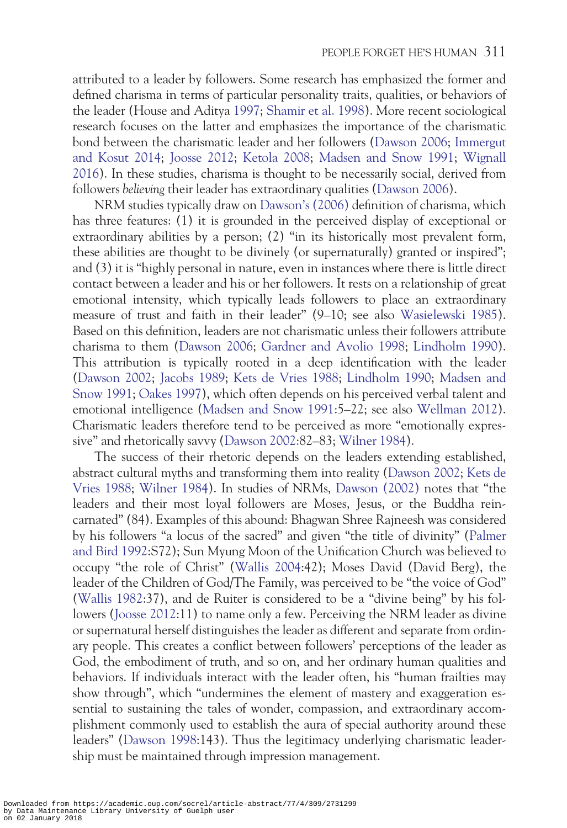attributed to a leader by followers. Some research has emphasized the former and defined charisma in terms of particular personality traits, qualities, or behaviors of the leader (House and Aditya [1997;](#page-21-0) [Shamir et al. 1998\)](#page-22-0). More recent sociological research focuses on the latter and emphasizes the importance of the charismatic bond between the charismatic leader and her followers [\(Dawson 2006;](#page-21-0) [Immergut](#page-21-0) [and Kosut 2014;](#page-21-0) [Joosse 2012](#page-21-0); [Ketola 2008](#page-21-0); [Madsen and Snow 1991](#page-22-0); [Wignall](#page-23-0) [2016\)](#page-23-0). In these studies, charisma is thought to be necessarily social, derived from followers believing their leader has extraordinary qualities [\(Dawson 2006\)](#page-21-0).

NRM studies typically draw on [Dawson's \(2006\)](#page-21-0) definition of charisma, which has three features: (1) it is grounded in the perceived display of exceptional or extraordinary abilities by a person; (2) "in its historically most prevalent form, these abilities are thought to be divinely (or supernaturally) granted or inspired"; and (3) it is "highly personal in nature, even in instances where there is little direct contact between a leader and his or her followers. It rests on a relationship of great emotional intensity, which typically leads followers to place an extraordinary measure of trust and faith in their leader" (9–10; see also [Wasielewski 1985](#page-23-0)). Based on this definition, leaders are not charismatic unless their followers attribute charisma to them ([Dawson 2006;](#page-21-0) [Gardner and Avolio 1998](#page-21-0); [Lindholm 1990](#page-22-0)). This attribution is typically rooted in a deep identification with the leader [\(Dawson 2002](#page-21-0); [Jacobs 1989;](#page-21-0) [Kets de Vries 1988;](#page-21-0) [Lindholm 1990](#page-22-0); [Madsen and](#page-22-0) [Snow 1991](#page-22-0); [Oakes 1997](#page-22-0)), which often depends on his perceived verbal talent and emotional intelligence [\(Madsen and Snow 1991](#page-22-0):5–22; see also [Wellman 2012](#page-23-0)). Charismatic leaders therefore tend to be perceived as more "emotionally expressive" and rhetorically savvy [\(Dawson 2002:](#page-21-0)82–83; [Wilner 1984](#page-23-0)).

The success of their rhetoric depends on the leaders extending established, abstract cultural myths and transforming them into reality [\(Dawson 2002](#page-21-0); [Kets de](#page-21-0) [Vries 1988](#page-21-0); [Wilner 1984\)](#page-23-0). In studies of NRMs, [Dawson \(2002\)](#page-21-0) notes that "the leaders and their most loyal followers are Moses, Jesus, or the Buddha reincarnated" (84). Examples of this abound: Bhagwan Shree Rajneesh was considered by his followers "a locus of the sacred" and given "the title of divinity" [\(Palmer](#page-22-0) [and Bird 1992:](#page-22-0)S72); Sun Myung Moon of the Unification Church was believed to occupy "the role of Christ" ([Wallis 2004:](#page-22-0)42); Moses David (David Berg), the leader of the Children of God/The Family, was perceived to be "the voice of God" [\(Wallis 1982:](#page-22-0)37), and de Ruiter is considered to be a "divine being" by his followers ([Joosse 2012:](#page-21-0)11) to name only a few. Perceiving the NRM leader as divine or supernatural herself distinguishes the leader as different and separate from ordinary people. This creates a conflict between followers' perceptions of the leader as God, the embodiment of truth, and so on, and her ordinary human qualities and behaviors. If individuals interact with the leader often, his "human frailties may show through", which "undermines the element of mastery and exaggeration essential to sustaining the tales of wonder, compassion, and extraordinary accomplishment commonly used to establish the aura of special authority around these leaders" ([Dawson 1998](#page-21-0):143). Thus the legitimacy underlying charismatic leadership must be maintained through impression management.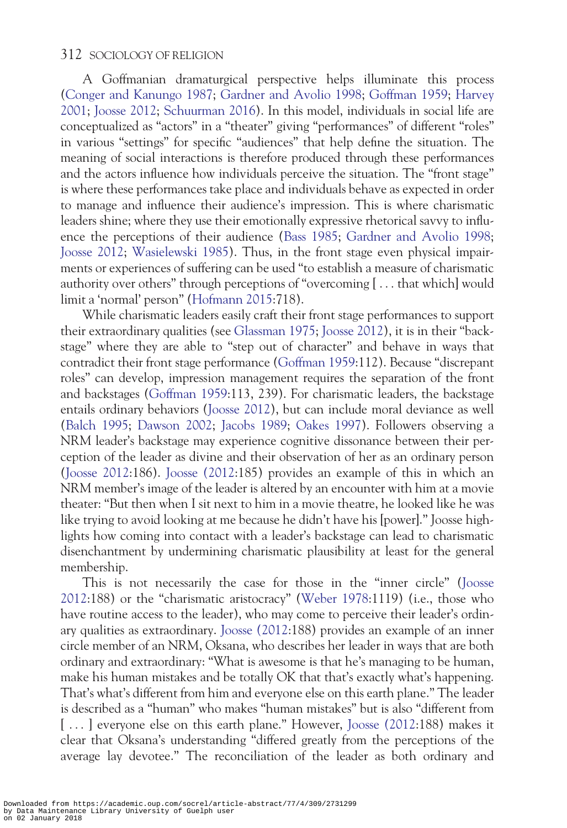A Goffmanian dramaturgical perspective helps illuminate this process [\(Conger and Kanungo 1987;](#page-21-0) [Gardner and Avolio 1998;](#page-21-0) [Goffman 1959;](#page-21-0) [Harvey](#page-21-0) [2001;](#page-21-0) [Joosse 2012](#page-21-0); [Schuurman 2016](#page-22-0)). In this model, individuals in social life are conceptualized as "actors" in a "theater" giving "performances" of different "roles" in various "settings" for specific "audiences" that help define the situation. The meaning of social interactions is therefore produced through these performances and the actors influence how individuals perceive the situation. The "front stage" is where these performances take place and individuals behave as expected in order to manage and influence their audience's impression. This is where charismatic leaders shine; where they use their emotionally expressive rhetorical savvy to influence the perceptions of their audience [\(Bass 1985](#page-20-0); [Gardner and Avolio 1998](#page-21-0); [Joosse 2012](#page-21-0); [Wasielewski 1985\)](#page-23-0). Thus, in the front stage even physical impairments or experiences of suffering can be used "to establish a measure of charismatic authority over others" through perceptions of "overcoming [ ... that which] would limit a 'normal' person" ([Hofmann 2015](#page-21-0):718).

While charismatic leaders easily craft their front stage performances to support their extraordinary qualities (see [Glassman 1975;](#page-21-0) [Joosse 2012\)](#page-21-0), it is in their "backstage" where they are able to "step out of character" and behave in ways that contradict their front stage performance ([Goffman 1959](#page-21-0):112). Because "discrepant roles" can develop, impression management requires the separation of the front and backstages [\(Goffman 1959:](#page-21-0)113, 239). For charismatic leaders, the backstage entails ordinary behaviors ([Joosse 2012](#page-21-0)), but can include moral deviance as well [\(Balch 1995](#page-20-0); [Dawson 2002](#page-21-0); [Jacobs 1989](#page-21-0); [Oakes 1997](#page-22-0)). Followers observing a NRM leader's backstage may experience cognitive dissonance between their perception of the leader as divine and their observation of her as an ordinary person [\(Joosse 2012:](#page-21-0)186). [Joosse \(2012:](#page-21-0)185) provides an example of this in which an NRM member's image of the leader is altered by an encounter with him at a movie theater: "But then when I sit next to him in a movie theatre, he looked like he was like trying to avoid looking at me because he didn't have his [power]." Joosse highlights how coming into contact with a leader's backstage can lead to charismatic disenchantment by undermining charismatic plausibility at least for the general membership.

This is not necessarily the case for those in the "inner circle" ([Joosse](#page-21-0) [2012:](#page-21-0)188) or the "charismatic aristocracy" ([Weber 1978](#page-23-0):1119) (i.e., those who have routine access to the leader), who may come to perceive their leader's ordinary qualities as extraordinary. [Joosse \(2012:](#page-21-0)188) provides an example of an inner circle member of an NRM, Oksana, who describes her leader in ways that are both ordinary and extraordinary: "What is awesome is that he's managing to be human, make his human mistakes and be totally OK that that's exactly what's happening. That's what's different from him and everyone else on this earth plane." The leader is described as a "human" who makes "human mistakes" but is also "different from [...] everyone else on this earth plane." However, [Joosse \(2012](#page-21-0):188) makes it clear that Oksana's understanding "differed greatly from the perceptions of the average lay devotee." The reconciliation of the leader as both ordinary and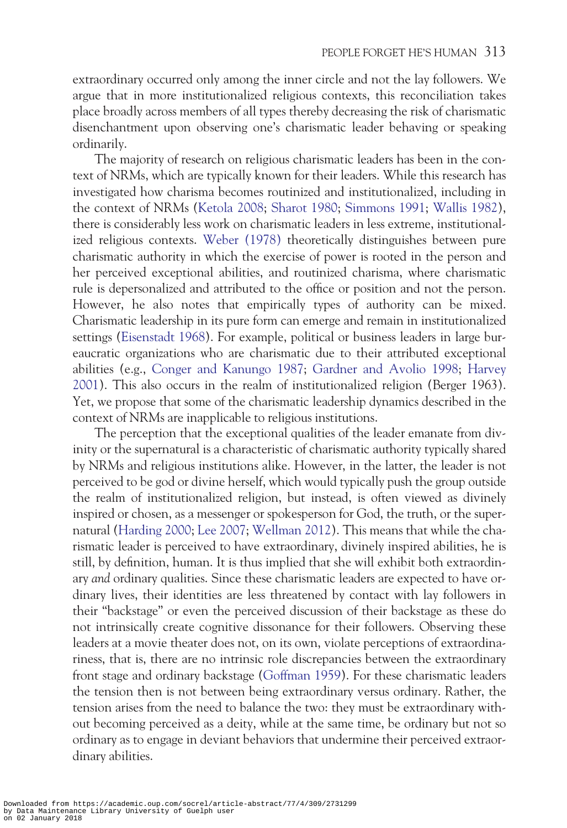extraordinary occurred only among the inner circle and not the lay followers. We argue that in more institutionalized religious contexts, this reconciliation takes place broadly across members of all types thereby decreasing the risk of charismatic disenchantment upon observing one's charismatic leader behaving or speaking ordinarily.

The majority of research on religious charismatic leaders has been in the context of NRMs, which are typically known for their leaders. While this research has investigated how charisma becomes routinized and institutionalized, including in the context of NRMs ([Ketola 2008;](#page-21-0) [Sharot 1980;](#page-22-0) [Simmons 1991](#page-22-0); [Wallis 1982](#page-22-0)), there is considerably less work on charismatic leaders in less extreme, institutionalized religious contexts. [Weber \(1978\)](#page-23-0) theoretically distinguishes between pure charismatic authority in which the exercise of power is rooted in the person and her perceived exceptional abilities, and routinized charisma, where charismatic rule is depersonalized and attributed to the office or position and not the person. However, he also notes that empirically types of authority can be mixed. Charismatic leadership in its pure form can emerge and remain in institutionalized settings [\(Eisenstadt 1968](#page-21-0)). For example, political or business leaders in large bureaucratic organizations who are charismatic due to their attributed exceptional abilities (e.g., [Conger and Kanungo 1987;](#page-21-0) [Gardner and Avolio 1998;](#page-21-0) [Harvey](#page-21-0) [2001\)](#page-21-0). This also occurs in the realm of institutionalized religion (Berger 1963). Yet, we propose that some of the charismatic leadership dynamics described in the context of NRMs are inapplicable to religious institutions.

The perception that the exceptional qualities of the leader emanate from divinity or the supernatural is a characteristic of charismatic authority typically shared by NRMs and religious institutions alike. However, in the latter, the leader is not perceived to be god or divine herself, which would typically push the group outside the realm of institutionalized religion, but instead, is often viewed as divinely inspired or chosen, as a messenger or spokesperson for God, the truth, or the supernatural ([Harding 2000;](#page-21-0) [Lee 2007](#page-22-0); [Wellman 2012](#page-23-0)). This means that while the charismatic leader is perceived to have extraordinary, divinely inspired abilities, he is still, by definition, human. It is thus implied that she will exhibit both extraordinary and ordinary qualities. Since these charismatic leaders are expected to have ordinary lives, their identities are less threatened by contact with lay followers in their "backstage" or even the perceived discussion of their backstage as these do not intrinsically create cognitive dissonance for their followers. Observing these leaders at a movie theater does not, on its own, violate perceptions of extraordinariness, that is, there are no intrinsic role discrepancies between the extraordinary front stage and ordinary backstage [\(Goffman 1959\)](#page-21-0). For these charismatic leaders the tension then is not between being extraordinary versus ordinary. Rather, the tension arises from the need to balance the two: they must be extraordinary without becoming perceived as a deity, while at the same time, be ordinary but not so ordinary as to engage in deviant behaviors that undermine their perceived extraordinary abilities.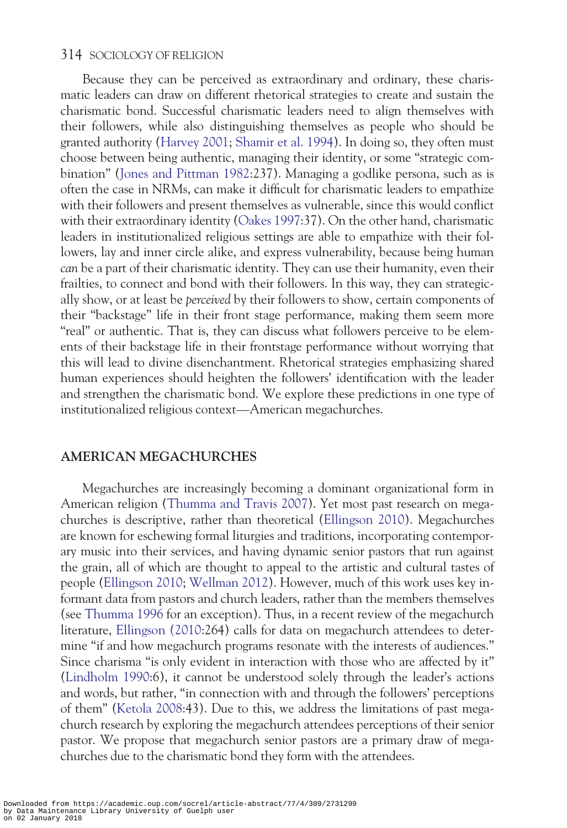Because they can be perceived as extraordinary and ordinary, these charismatic leaders can draw on different rhetorical strategies to create and sustain the charismatic bond. Successful charismatic leaders need to align themselves with their followers, while also distinguishing themselves as people who should be granted authority ([Harvey 2001](#page-21-0); [Shamir et al. 1994](#page-22-0)). In doing so, they often must choose between being authentic, managing their identity, or some "strategic combination" [\(Jones and Pittman 1982](#page-21-0):237). Managing a godlike persona, such as is often the case in NRMs, can make it difficult for charismatic leaders to empathize with their followers and present themselves as vulnerable, since this would conflict with their extraordinary identity ([Oakes 1997](#page-22-0):37). On the other hand, charismatic leaders in institutionalized religious settings are able to empathize with their followers, lay and inner circle alike, and express vulnerability, because being human can be a part of their charismatic identity. They can use their humanity, even their frailties, to connect and bond with their followers. In this way, they can strategically show, or at least be perceived by their followers to show, certain components of their "backstage" life in their front stage performance, making them seem more "real" or authentic. That is, they can discuss what followers perceive to be elements of their backstage life in their frontstage performance without worrying that this will lead to divine disenchantment. Rhetorical strategies emphasizing shared human experiences should heighten the followers' identification with the leader and strengthen the charismatic bond. We explore these predictions in one type of institutionalized religious context—American megachurches.

#### AMERICAN MEGACHURCHES

Megachurches are increasingly becoming a dominant organizational form in American religion [\(Thumma and Travis 2007](#page-22-0)). Yet most past research on megachurches is descriptive, rather than theoretical [\(Ellingson 2010](#page-21-0)). Megachurches are known for eschewing formal liturgies and traditions, incorporating contemporary music into their services, and having dynamic senior pastors that run against the grain, all of which are thought to appeal to the artistic and cultural tastes of people ([Ellingson 2010;](#page-21-0) [Wellman 2012\)](#page-23-0). However, much of this work uses key informant data from pastors and church leaders, rather than the members themselves (see [Thumma 1996](#page-22-0) for an exception). Thus, in a recent review of the megachurch literature, [Ellingson \(2010](#page-21-0):264) calls for data on megachurch attendees to determine "if and how megachurch programs resonate with the interests of audiences." Since charisma "is only evident in interaction with those who are affected by it" [\(Lindholm 1990](#page-22-0):6), it cannot be understood solely through the leader's actions and words, but rather, "in connection with and through the followers' perceptions of them" ([Ketola 2008:](#page-21-0)43). Due to this, we address the limitations of past megachurch research by exploring the megachurch attendees perceptions of their senior pastor. We propose that megachurch senior pastors are a primary draw of megachurches due to the charismatic bond they form with the attendees.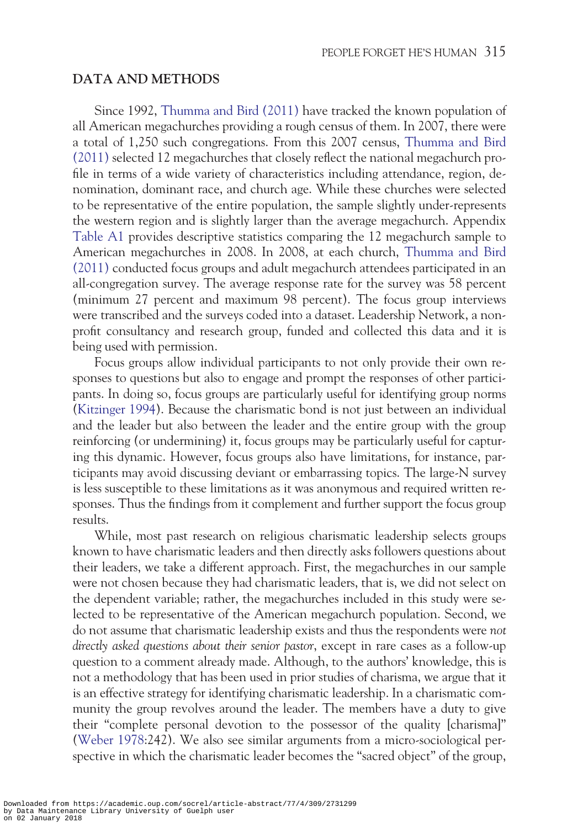#### DATA AND METHODS

Since 1992, [Thumma and Bird \(2011\)](#page-22-0) have tracked the known population of all American megachurches providing a rough census of them. In 2007, there were a total of 1,250 such congregations. From this 2007 census, [Thumma and Bird](#page-22-0) [\(2011\)](#page-22-0) selected 12 megachurches that closely reflect the national megachurch profile in terms of a wide variety of characteristics including attendance, region, denomination, dominant race, and church age. While these churches were selected to be representative of the entire population, the sample slightly under-represents the western region and is slightly larger than the average megachurch. Appendix [Table A1](#page-8-0) provides descriptive statistics comparing the 12 megachurch sample to American megachurches in 2008. In 2008, at each church, [Thumma and Bird](#page-22-0) [\(2011\)](#page-22-0) conducted focus groups and adult megachurch attendees participated in an all-congregation survey. The average response rate for the survey was 58 percent (minimum 27 percent and maximum 98 percent). The focus group interviews were transcribed and the surveys coded into a dataset. Leadership Network, a nonprofit consultancy and research group, funded and collected this data and it is being used with permission.

Focus groups allow individual participants to not only provide their own responses to questions but also to engage and prompt the responses of other participants. In doing so, focus groups are particularly useful for identifying group norms [\(Kitzinger 1994\)](#page-22-0). Because the charismatic bond is not just between an individual and the leader but also between the leader and the entire group with the group reinforcing (or undermining) it, focus groups may be particularly useful for capturing this dynamic. However, focus groups also have limitations, for instance, participants may avoid discussing deviant or embarrassing topics. The large-N survey is less susceptible to these limitations as it was anonymous and required written responses. Thus the findings from it complement and further support the focus group results.

While, most past research on religious charismatic leadership selects groups known to have charismatic leaders and then directly asks followers questions about their leaders, we take a different approach. First, the megachurches in our sample were not chosen because they had charismatic leaders, that is, we did not select on the dependent variable; rather, the megachurches included in this study were selected to be representative of the American megachurch population. Second, we do not assume that charismatic leadership exists and thus the respondents were not directly asked questions about their senior pastor, except in rare cases as a follow-up question to a comment already made. Although, to the authors' knowledge, this is not a methodology that has been used in prior studies of charisma, we argue that it is an effective strategy for identifying charismatic leadership. In a charismatic community the group revolves around the leader. The members have a duty to give their "complete personal devotion to the possessor of the quality [charisma]" [\(Weber 1978](#page-23-0):242). We also see similar arguments from a micro-sociological perspective in which the charismatic leader becomes the "sacred object" of the group,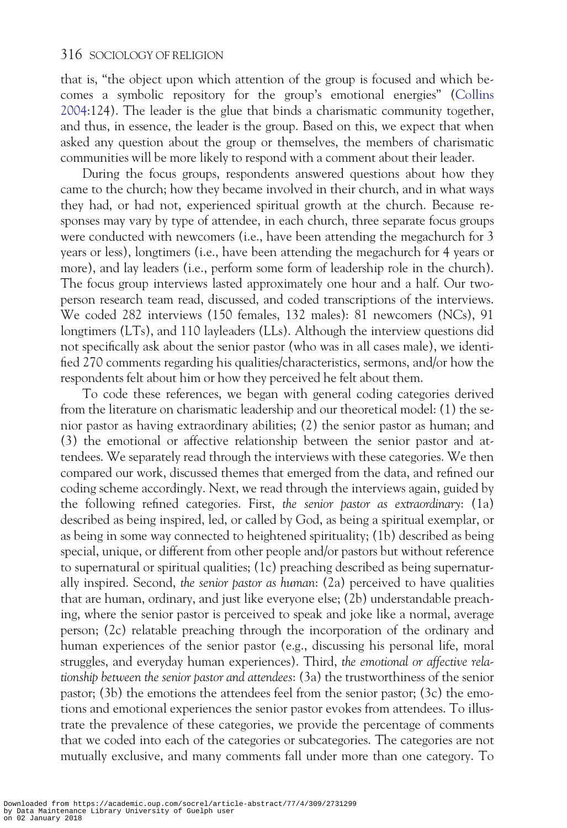that is, "the object upon which attention of the group is focused and which becomes a symbolic repository for the group's emotional energies" [\(Collins](#page-20-0) [2004:](#page-20-0)124). The leader is the glue that binds a charismatic community together, and thus, in essence, the leader is the group. Based on this, we expect that when asked any question about the group or themselves, the members of charismatic communities will be more likely to respond with a comment about their leader.

During the focus groups, respondents answered questions about how they came to the church; how they became involved in their church, and in what ways they had, or had not, experienced spiritual growth at the church. Because responses may vary by type of attendee, in each church, three separate focus groups were conducted with newcomers (i.e., have been attending the megachurch for 3 years or less), longtimers (i.e., have been attending the megachurch for 4 years or more), and lay leaders (i.e., perform some form of leadership role in the church). The focus group interviews lasted approximately one hour and a half. Our twoperson research team read, discussed, and coded transcriptions of the interviews. We coded 282 interviews (150 females, 132 males): 81 newcomers (NCs), 91 longtimers (LTs), and 110 layleaders (LLs). Although the interview questions did not specifically ask about the senior pastor (who was in all cases male), we identified 270 comments regarding his qualities/characteristics, sermons, and/or how the respondents felt about him or how they perceived he felt about them.

To code these references, we began with general coding categories derived from the literature on charismatic leadership and our theoretical model: (1) the senior pastor as having extraordinary abilities; (2) the senior pastor as human; and (3) the emotional or affective relationship between the senior pastor and attendees. We separately read through the interviews with these categories. We then compared our work, discussed themes that emerged from the data, and refined our coding scheme accordingly. Next, we read through the interviews again, guided by the following refined categories. First, the senior pastor as extraordinary: (1a) described as being inspired, led, or called by God, as being a spiritual exemplar, or as being in some way connected to heightened spirituality; (1b) described as being special, unique, or different from other people and/or pastors but without reference to supernatural or spiritual qualities; (1c) preaching described as being supernaturally inspired. Second, the senior pastor as human: (2a) perceived to have qualities that are human, ordinary, and just like everyone else; (2b) understandable preaching, where the senior pastor is perceived to speak and joke like a normal, average person; (2c) relatable preaching through the incorporation of the ordinary and human experiences of the senior pastor (e.g., discussing his personal life, moral struggles, and everyday human experiences). Third, the emotional or affective relationship between the senior pastor and attendees: (3a) the trustworthiness of the senior pastor; (3b) the emotions the attendees feel from the senior pastor; (3c) the emotions and emotional experiences the senior pastor evokes from attendees. To illustrate the prevalence of these categories, we provide the percentage of comments that we coded into each of the categories or subcategories. The categories are not mutually exclusive, and many comments fall under more than one category. To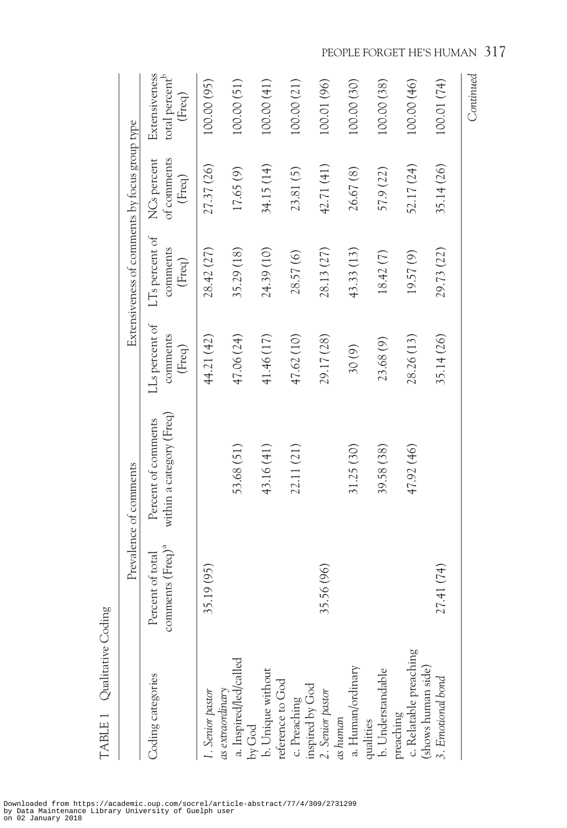<span id="page-8-0"></span>

|                                                                                     |                                         | Prevalence of comments                          |                                      | Extensiveness of comments by focus group type |                                      |                                                       |
|-------------------------------------------------------------------------------------|-----------------------------------------|-------------------------------------------------|--------------------------------------|-----------------------------------------------|--------------------------------------|-------------------------------------------------------|
| Coding categories                                                                   | comments $(Freq)^a$<br>Percent of total | within a category (Freq)<br>Percent of comments | LLs percent of<br>comments<br>(Freq) | LTs percent of<br>comments<br>(Freq)          | NCs percent<br>of comments<br>(Freq) | Extensiveness<br>total percent <sup>b</sup><br>(Freq) |
| 1. Senior pastor                                                                    | 35.19 (95)                              |                                                 | 44.21 (42)                           | 28.42 (27)                                    | 27.37 (26)                           | 100.00 (95)                                           |
| as extraordinary                                                                    |                                         | 53.68 (51)                                      | 47.06 (24)                           | 35.29 (18)                                    | 17.65(9)                             | 100.00 (51)                                           |
| a. Inspired/led/called<br>by God<br>b. Unique without                               |                                         | 43.16 (41)                                      | 41.46 (17)                           | 24.39 (10)                                    | 34.15 (14)                           | 100.00 (41)                                           |
| reference to God<br>c. Preaching<br>inspired by God<br>2. Senior pastor<br>as human |                                         | 22.11 (21)                                      | 47.62 (10)                           | 28.57 (6)                                     | 23.81(5)                             | 100.00 (21)                                           |
|                                                                                     | 35.56 (96)                              |                                                 | 29.17 (28)                           | 28.13 (27)                                    | 42.71 (41)                           | 100.01 (96)                                           |
| a. Human/ordinary                                                                   |                                         | 31.25 (30)                                      | 30(9)                                | 43.33 (13)                                    | 26.67(8)                             | 100.00 (30)                                           |
| qualities<br>b. Understandable<br>preaching                                         |                                         | 39.58 (38)                                      | 23.68 (9)                            | 18.42(7)                                      | 57.9 (22)                            | 100.00 (38)                                           |
| c. Relatable preaching                                                              |                                         | 47.92 (46)                                      | 28.26 (13)                           | 19.57(9)                                      | 52.17 (24)                           | 100.00 (46)                                           |
| (shows human side)<br>3. Emotional bond                                             | 27.41 (74)                              |                                                 | 35.14 (26)                           | 29.73 (22)                                    | 35.14 (26)                           | 100.01 (74)                                           |
|                                                                                     |                                         |                                                 |                                      |                                               |                                      | Continued                                             |

Downloaded from https://academic.oup.com/socrel/article-abstract/77/4/309/2731299 by Data Maintenance Library University of Guelph user on 02 January 2018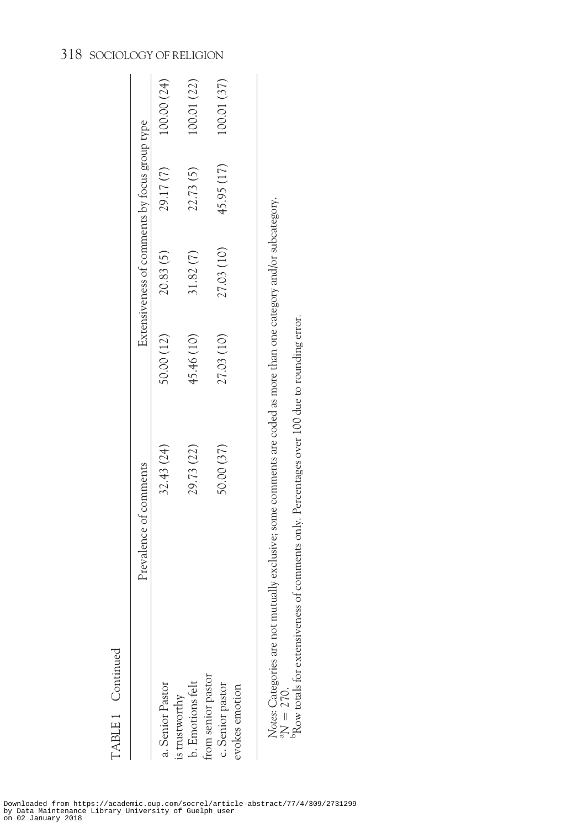| ŗ<br>ī |
|--------|
|        |
|        |
|        |

|                                    | Prevalence of comments |            | Extensiveness of comments by focus group type |            |            |
|------------------------------------|------------------------|------------|-----------------------------------------------|------------|------------|
| Senior Pastor                      | 32.43 (24)             | 50.00 (12) | 20.83 (5)                                     | 29.17(7)   | 00.00(24)  |
| . Emotions felt<br>'s trustworthy  | 29.73 (22)             | 45.46 (10) | 31.82(7)                                      | 22.73 (5)  | 00.01 (22) |
| rom senior pastor<br>Senior pastor | 50.00 (37)             | 27.03 (10) | 27.03 (10)                                    | 45.95 (17) | 00.01(37)  |
| vokes emotion                      |                        |            |                                               |            |            |

Notes: Categories are not mutually exclusive; some comments are coded as more than one category and/or subcategory. a  $\mathsf{Z}% _{\mathsf{M}}^{(1)}\!\left( \mathsf{N}\right) \equiv\mathsf{N}_{\mathsf{M}}^{(1)}\!\left( \mathsf{N}\right) \mathsf{N}_{\mathsf{M}}^{(2)}$ 

 ${}^2N=270.$  bRow totals for extensiveness of comments only. Percentages over 100 due to rounding error.

## 318 SOCIOLOGY OF RELIGION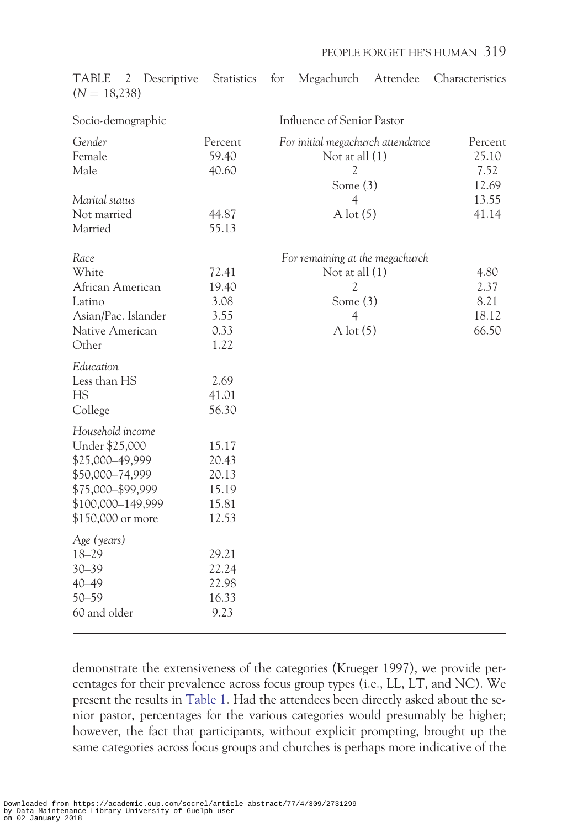#### PEOPLE FORGET HE'S HUMAN 319

|         | <b>Influence of Senior Pastor</b> |                                                                                                               |
|---------|-----------------------------------|---------------------------------------------------------------------------------------------------------------|
| Percent | For initial megachurch attendance | Percent                                                                                                       |
| 59.40   | Not at all $(1)$                  | 25.10                                                                                                         |
| 40.60   | 2.                                | 7.52                                                                                                          |
|         |                                   | 12.69                                                                                                         |
|         | $\overline{4}$                    | 13.55                                                                                                         |
| 44.87   |                                   | 41.14                                                                                                         |
| 55.13   |                                   |                                                                                                               |
|         |                                   |                                                                                                               |
| 72.41   |                                   | 4.80                                                                                                          |
|         | 2                                 | 2.37                                                                                                          |
| 3.08    |                                   | 8.21                                                                                                          |
| 3.55    | 4                                 | 18.12                                                                                                         |
| 0.33    |                                   | 66.50                                                                                                         |
| 1.22    |                                   |                                                                                                               |
|         |                                   |                                                                                                               |
| 2.69    |                                   |                                                                                                               |
| 41.01   |                                   |                                                                                                               |
| 56.30   |                                   |                                                                                                               |
|         |                                   |                                                                                                               |
| 15.17   |                                   |                                                                                                               |
| 20.43   |                                   |                                                                                                               |
| 20.13   |                                   |                                                                                                               |
| 15.19   |                                   |                                                                                                               |
| 15.81   |                                   |                                                                                                               |
| 12.53   |                                   |                                                                                                               |
|         |                                   |                                                                                                               |
|         |                                   |                                                                                                               |
| 22.24   |                                   |                                                                                                               |
| 22.98   |                                   |                                                                                                               |
|         |                                   |                                                                                                               |
| 9.23    |                                   |                                                                                                               |
|         | 19.40<br>29.21<br>16.33           | Some $(3)$<br>$A$ lot $(5)$<br>For remaining at the megachurch<br>Not at all (1)<br>Some $(3)$<br>A lot $(5)$ |

<span id="page-10-0"></span>TABLE 2 Descriptive Statistics for Megachurch Attendee Characteristics  $(N = 18,238)$ 

demonstrate the extensiveness of the categories (Krueger 1997), we provide percentages for their prevalence across focus group types (i.e., LL, LT, and NC). We present the results in [Table 1](#page-8-0). Had the attendees been directly asked about the senior pastor, percentages for the various categories would presumably be higher; however, the fact that participants, without explicit prompting, brought up the same categories across focus groups and churches is perhaps more indicative of the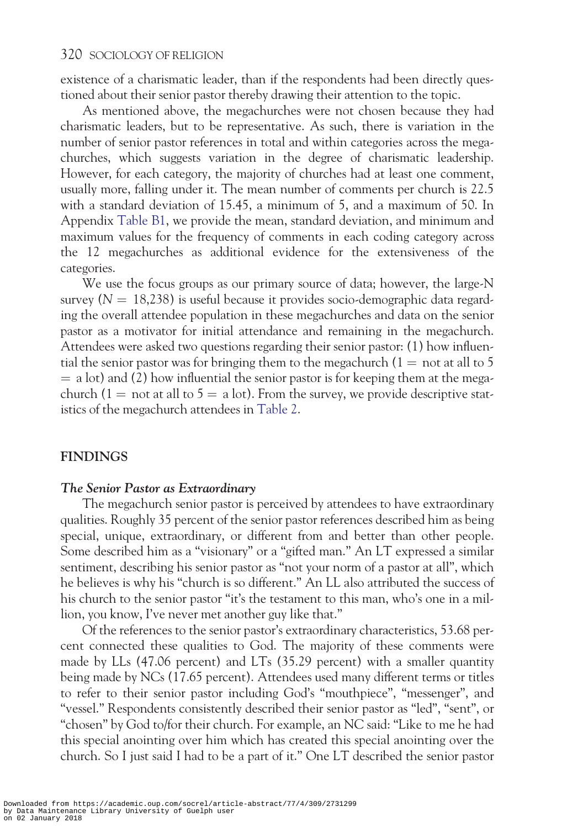existence of a charismatic leader, than if the respondents had been directly questioned about their senior pastor thereby drawing their attention to the topic.

As mentioned above, the megachurches were not chosen because they had charismatic leaders, but to be representative. As such, there is variation in the number of senior pastor references in total and within categories across the megachurches, which suggests variation in the degree of charismatic leadership. However, for each category, the majority of churches had at least one comment, usually more, falling under it. The mean number of comments per church is 22.5 with a standard deviation of 15.45, a minimum of 5, and a maximum of 50. In Appendix [Table B1](#page-8-0), we provide the mean, standard deviation, and minimum and maximum values for the frequency of comments in each coding category across the 12 megachurches as additional evidence for the extensiveness of the categories.

We use the focus groups as our primary source of data; however, the large-N survey  $(N = 18,238)$  is useful because it provides socio-demographic data regarding the overall attendee population in these megachurches and data on the senior pastor as a motivator for initial attendance and remaining in the megachurch. Attendees were asked two questions regarding their senior pastor: (1) how influential the senior pastor was for bringing them to the megachurch  $(1 = \text{not at all to } 5$  $=$  a lot) and (2) how influential the senior pastor is for keeping them at the megachurch (1 = not at all to 5 = a lot). From the survey, we provide descriptive statistics of the megachurch attendees in [Table 2.](#page-10-0)

#### FINDINGS

#### The Senior Pastor as Extraordinary

The megachurch senior pastor is perceived by attendees to have extraordinary qualities. Roughly 35 percent of the senior pastor references described him as being special, unique, extraordinary, or different from and better than other people. Some described him as a "visionary" or a "gifted man." An LT expressed a similar sentiment, describing his senior pastor as "not your norm of a pastor at all", which he believes is why his "church is so different." An LL also attributed the success of his church to the senior pastor "it's the testament to this man, who's one in a million, you know, I've never met another guy like that."

Of the references to the senior pastor's extraordinary characteristics, 53.68 percent connected these qualities to God. The majority of these comments were made by LLs (47.06 percent) and LTs (35.29 percent) with a smaller quantity being made by NCs (17.65 percent). Attendees used many different terms or titles to refer to their senior pastor including God's "mouthpiece", "messenger", and "vessel." Respondents consistently described their senior pastor as "led", "sent", or "chosen" by God to/for their church. For example, an NC said: "Like to me he had this special anointing over him which has created this special anointing over the church. So I just said I had to be a part of it." One LT described the senior pastor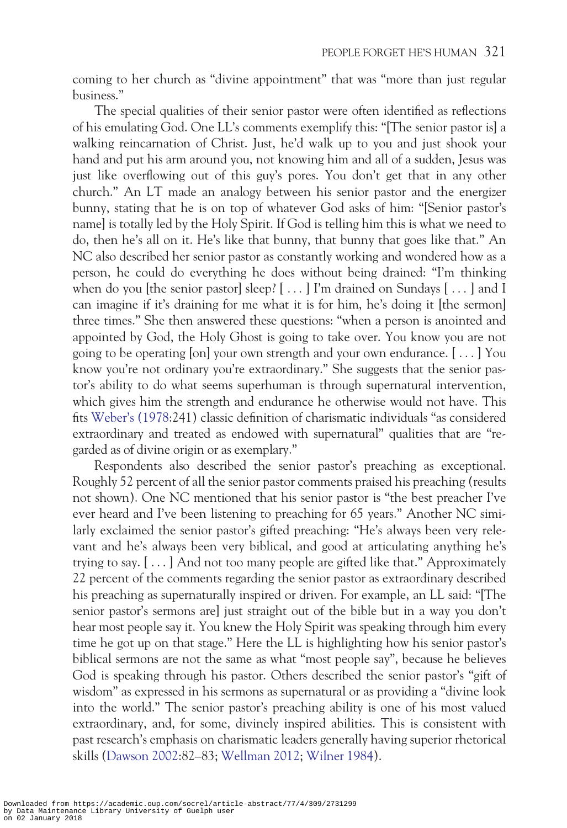coming to her church as "divine appointment" that was "more than just regular business."

The special qualities of their senior pastor were often identified as reflections of his emulating God. One LL's comments exemplify this: "[The senior pastor is] a walking reincarnation of Christ. Just, he'd walk up to you and just shook your hand and put his arm around you, not knowing him and all of a sudden, Jesus was just like overflowing out of this guy's pores. You don't get that in any other church." An LT made an analogy between his senior pastor and the energizer bunny, stating that he is on top of whatever God asks of him: "[Senior pastor's name] is totally led by the Holy Spirit. If God is telling him this is what we need to do, then he's all on it. He's like that bunny, that bunny that goes like that." An NC also described her senior pastor as constantly working and wondered how as a person, he could do everything he does without being drained: "I'm thinking when do you [the senior pastor] sleep?  $[\dots]$  I'm drained on Sundays  $[\dots]$  and I can imagine if it's draining for me what it is for him, he's doing it [the sermon] three times." She then answered these questions: "when a person is anointed and appointed by God, the Holy Ghost is going to take over. You know you are not going to be operating [on] your own strength and your own endurance. [ ... ] You know you're not ordinary you're extraordinary." She suggests that the senior pastor's ability to do what seems superhuman is through supernatural intervention, which gives him the strength and endurance he otherwise would not have. This fits [Weber's \(1978:](#page-23-0)241) classic definition of charismatic individuals "as considered extraordinary and treated as endowed with supernatural" qualities that are "regarded as of divine origin or as exemplary."

Respondents also described the senior pastor's preaching as exceptional. Roughly 52 percent of all the senior pastor comments praised his preaching (results not shown). One NC mentioned that his senior pastor is "the best preacher I've ever heard and I've been listening to preaching for 65 years." Another NC similarly exclaimed the senior pastor's gifted preaching: "He's always been very relevant and he's always been very biblical, and good at articulating anything he's trying to say. [ ... ] And not too many people are gifted like that." Approximately 22 percent of the comments regarding the senior pastor as extraordinary described his preaching as supernaturally inspired or driven. For example, an LL said: "[The senior pastor's sermons are] just straight out of the bible but in a way you don't hear most people say it. You knew the Holy Spirit was speaking through him every time he got up on that stage." Here the LL is highlighting how his senior pastor's biblical sermons are not the same as what "most people say", because he believes God is speaking through his pastor. Others described the senior pastor's "gift of wisdom" as expressed in his sermons as supernatural or as providing a "divine look into the world." The senior pastor's preaching ability is one of his most valued extraordinary, and, for some, divinely inspired abilities. This is consistent with past research's emphasis on charismatic leaders generally having superior rhetorical skills [\(Dawson 2002](#page-21-0):82–83; [Wellman 2012;](#page-23-0) [Wilner 1984](#page-23-0)).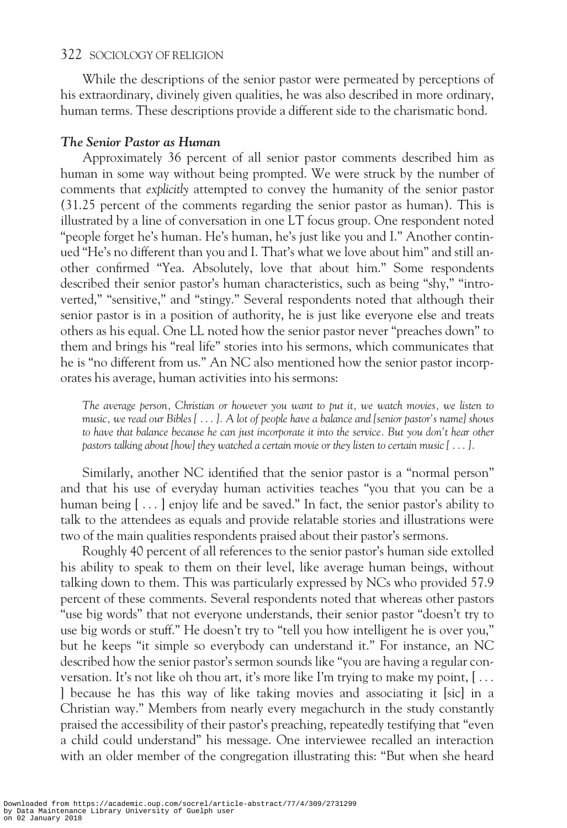While the descriptions of the senior pastor were permeated by perceptions of his extraordinary, divinely given qualities, he was also described in more ordinary, human terms. These descriptions provide a different side to the charismatic bond.

#### The Senior Pastor as Human

Approximately 36 percent of all senior pastor comments described him as human in some way without being prompted. We were struck by the number of comments that explicitly attempted to convey the humanity of the senior pastor (31.25 percent of the comments regarding the senior pastor as human). This is illustrated by a line of conversation in one LT focus group. One respondent noted "people forget he's human. He's human, he's just like you and I." Another continued "He's no different than you and I. That's what we love about him" and still another confirmed "Yea. Absolutely, love that about him." Some respondents described their senior pastor's human characteristics, such as being "shy," "introverted," "sensitive," and "stingy." Several respondents noted that although their senior pastor is in a position of authority, he is just like everyone else and treats others as his equal. One LL noted how the senior pastor never "preaches down" to them and brings his "real life" stories into his sermons, which communicates that he is "no different from us." An NC also mentioned how the senior pastor incorporates his average, human activities into his sermons:

The average person, Christian or however you want to put it, we watch movies, we listen to music, we read our Bibles [ ... ]. A lot of people have a balance and [senior pastor's name] shows to have that balance because he can just incorporate it into the service. But you don't hear other pastors talking about [how] they watched a certain movie or they listen to certain music [ ... ].

Similarly, another NC identified that the senior pastor is a "normal person" and that his use of everyday human activities teaches "you that you can be a human being [ ... ] enjoy life and be saved." In fact, the senior pastor's ability to talk to the attendees as equals and provide relatable stories and illustrations were two of the main qualities respondents praised about their pastor's sermons.

Roughly 40 percent of all references to the senior pastor's human side extolled his ability to speak to them on their level, like average human beings, without talking down to them. This was particularly expressed by NCs who provided 57.9 percent of these comments. Several respondents noted that whereas other pastors "use big words" that not everyone understands, their senior pastor "doesn't try to use big words or stuff." He doesn't try to "tell you how intelligent he is over you," but he keeps "it simple so everybody can understand it." For instance, an NC described how the senior pastor's sermon sounds like "you are having a regular conversation. It's not like oh thou art, it's more like I'm trying to make my point,  $[\ldots]$ ] because he has this way of like taking movies and associating it [sic] in a Christian way." Members from nearly every megachurch in the study constantly praised the accessibility of their pastor's preaching, repeatedly testifying that "even a child could understand" his message. One interviewee recalled an interaction with an older member of the congregation illustrating this: "But when she heard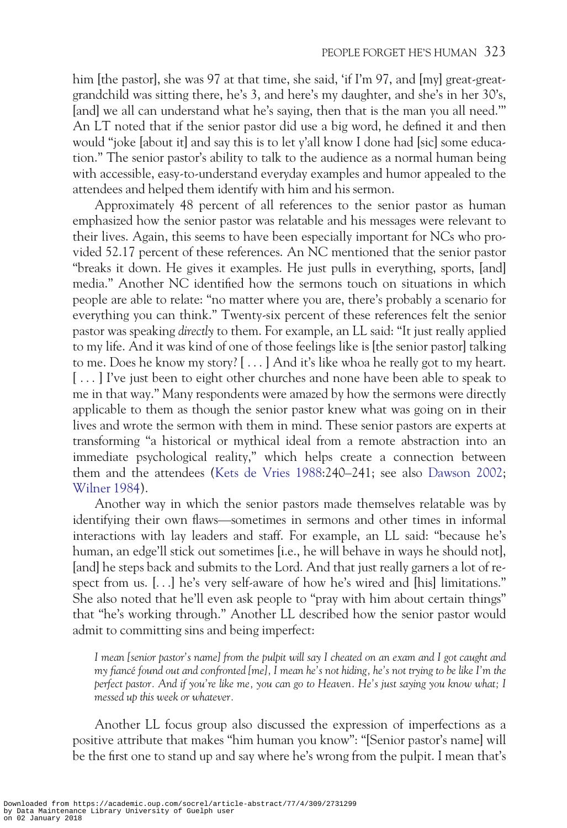him [the pastor], she was 97 at that time, she said, 'if I'm 97, and [my] great-greatgrandchild was sitting there, he's 3, and here's my daughter, and she's in her 30's, [and] we all can understand what he's saying, then that is the man you all need.'" An LT noted that if the senior pastor did use a big word, he defined it and then would "joke [about it] and say this is to let y'all know I done had [sic] some education." The senior pastor's ability to talk to the audience as a normal human being with accessible, easy-to-understand everyday examples and humor appealed to the attendees and helped them identify with him and his sermon.

Approximately 48 percent of all references to the senior pastor as human emphasized how the senior pastor was relatable and his messages were relevant to their lives. Again, this seems to have been especially important for NCs who provided 52.17 percent of these references. An NC mentioned that the senior pastor "breaks it down. He gives it examples. He just pulls in everything, sports, [and] media." Another NC identified how the sermons touch on situations in which people are able to relate: "no matter where you are, there's probably a scenario for everything you can think." Twenty-six percent of these references felt the senior pastor was speaking directly to them. For example, an LL said: "It just really applied to my life. And it was kind of one of those feelings like is [the senior pastor] talking to me. Does he know my story? [ ... ] And it's like whoa he really got to my heart. [ ... ] I've just been to eight other churches and none have been able to speak to me in that way." Many respondents were amazed by how the sermons were directly applicable to them as though the senior pastor knew what was going on in their lives and wrote the sermon with them in mind. These senior pastors are experts at transforming "a historical or mythical ideal from a remote abstraction into an immediate psychological reality," which helps create a connection between them and the attendees ([Kets de Vries 1988:](#page-21-0)240–241; see also [Dawson 2002](#page-21-0); [Wilner 1984](#page-23-0)).

Another way in which the senior pastors made themselves relatable was by identifying their own flaws—sometimes in sermons and other times in informal interactions with lay leaders and staff. For example, an LL said: "because he's human, an edge'll stick out sometimes [i.e., he will behave in ways he should not], [and] he steps back and submits to the Lord. And that just really garners a lot of respect from us. [...] he's very self-aware of how he's wired and [his] limitations." She also noted that he'll even ask people to "pray with him about certain things" that "he's working through." Another LL described how the senior pastor would admit to committing sins and being imperfect:

I mean [senior pastor's name] from the pulpit will say I cheated on an exam and I got caught and my fiance´ found out and confronted [me], I mean he's not hiding, he's not trying to be like I'm the perfect pastor. And if you're like me, you can go to Heaven. He's just saying you know what; I messed up this week or whatever.

Another LL focus group also discussed the expression of imperfections as a positive attribute that makes "him human you know": "[Senior pastor's name] will be the first one to stand up and say where he's wrong from the pulpit. I mean that's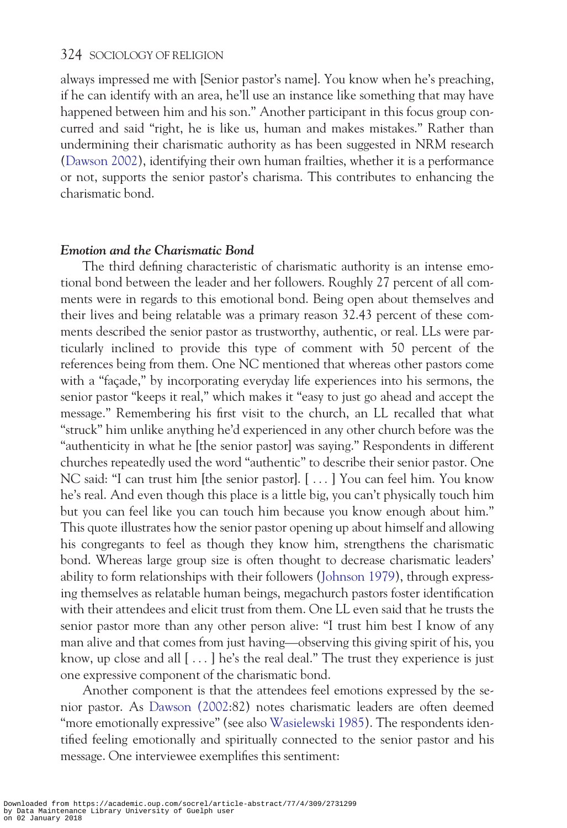always impressed me with [Senior pastor's name]. You know when he's preaching, if he can identify with an area, he'll use an instance like something that may have happened between him and his son." Another participant in this focus group concurred and said "right, he is like us, human and makes mistakes." Rather than undermining their charismatic authority as has been suggested in NRM research [\(Dawson 2002\)](#page-21-0), identifying their own human frailties, whether it is a performance or not, supports the senior pastor's charisma. This contributes to enhancing the charismatic bond.

#### Emotion and the Charismatic Bond

The third defining characteristic of charismatic authority is an intense emotional bond between the leader and her followers. Roughly 27 percent of all comments were in regards to this emotional bond. Being open about themselves and their lives and being relatable was a primary reason 32.43 percent of these comments described the senior pastor as trustworthy, authentic, or real. LLs were particularly inclined to provide this type of comment with 50 percent of the references being from them. One NC mentioned that whereas other pastors come with a "facade," by incorporating everyday life experiences into his sermons, the senior pastor "keeps it real," which makes it "easy to just go ahead and accept the message." Remembering his first visit to the church, an LL recalled that what "struck" him unlike anything he'd experienced in any other church before was the "authenticity in what he [the senior pastor] was saying." Respondents in different churches repeatedly used the word "authentic" to describe their senior pastor. One NC said: "I can trust him [the senior pastor]. [ ... ] You can feel him. You know he's real. And even though this place is a little big, you can't physically touch him but you can feel like you can touch him because you know enough about him." This quote illustrates how the senior pastor opening up about himself and allowing his congregants to feel as though they know him, strengthens the charismatic bond. Whereas large group size is often thought to decrease charismatic leaders' ability to form relationships with their followers [\(Johnson 1979](#page-21-0)), through expressing themselves as relatable human beings, megachurch pastors foster identification with their attendees and elicit trust from them. One LL even said that he trusts the senior pastor more than any other person alive: "I trust him best I know of any man alive and that comes from just having—observing this giving spirit of his, you know, up close and all [ ... ] he's the real deal." The trust they experience is just one expressive component of the charismatic bond.

Another component is that the attendees feel emotions expressed by the senior pastor. As [Dawson \(2002:](#page-21-0)82) notes charismatic leaders are often deemed "more emotionally expressive" (see also [Wasielewski 1985\)](#page-23-0). The respondents identified feeling emotionally and spiritually connected to the senior pastor and his message. One interviewee exemplifies this sentiment: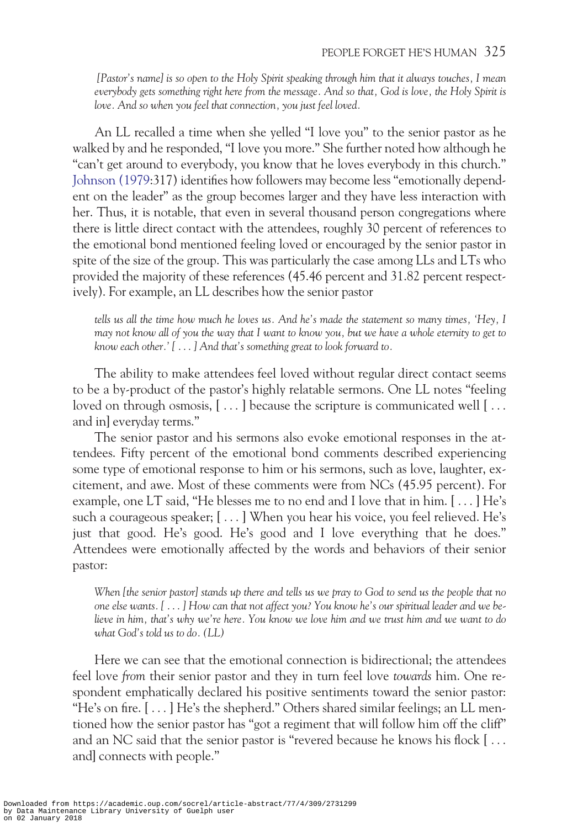[Pastor's name] is so open to the Holy Spirit speaking through him that it always touches, I mean everybody gets something right here from the message. And so that, God is love, the Holy Spirit is love. And so when you feel that connection, you just feel loved.

An LL recalled a time when she yelled "I love you" to the senior pastor as he walked by and he responded, "I love you more." She further noted how although he "can't get around to everybody, you know that he loves everybody in this church." [Johnson \(1979:](#page-21-0)317) identifies how followers may become less "emotionally dependent on the leader" as the group becomes larger and they have less interaction with her. Thus, it is notable, that even in several thousand person congregations where there is little direct contact with the attendees, roughly 30 percent of references to the emotional bond mentioned feeling loved or encouraged by the senior pastor in spite of the size of the group. This was particularly the case among LLs and LTs who provided the majority of these references (45.46 percent and 31.82 percent respectively). For example, an LL describes how the senior pastor

tells us all the time how much he loves us. And he's made the statement so many times, 'Hey, I may not know all of you the way that I want to know you, but we have a whole eternity to get to know each other.' [ ... ] And that's something great to look forward to.

The ability to make attendees feel loved without regular direct contact seems to be a by-product of the pastor's highly relatable sermons. One LL notes "feeling loved on through osmosis,  $[\dots]$  because the scripture is communicated well  $[\dots]$ and in] everyday terms."

The senior pastor and his sermons also evoke emotional responses in the attendees. Fifty percent of the emotional bond comments described experiencing some type of emotional response to him or his sermons, such as love, laughter, excitement, and awe. Most of these comments were from NCs (45.95 percent). For example, one LT said, "He blesses me to no end and I love that in him. [ ... ] He's such a courageous speaker; [ ... ] When you hear his voice, you feel relieved. He's just that good. He's good. He's good and I love everything that he does." Attendees were emotionally affected by the words and behaviors of their senior pastor:

When [the senior pastor] stands up there and tells us we pray to God to send us the people that no one else wants. [ ... ] How can that not affect you? You know he's our spiritual leader and we believe in him, that's why we're here. You know we love him and we trust him and we want to do what God's told us to do. (LL)

Here we can see that the emotional connection is bidirectional; the attendees feel love from their senior pastor and they in turn feel love towards him. One respondent emphatically declared his positive sentiments toward the senior pastor: "He's on fire. [ ... ] He's the shepherd." Others shared similar feelings; an LL mentioned how the senior pastor has "got a regiment that will follow him off the cliff" and an NC said that the senior pastor is "revered because he knows his flock [ ... and] connects with people."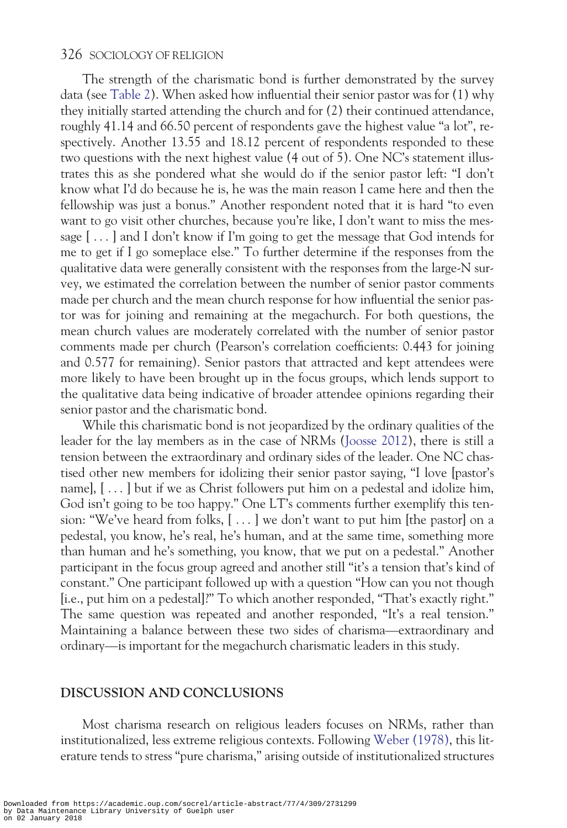The strength of the charismatic bond is further demonstrated by the survey data (see [Table 2](#page-10-0)). When asked how influential their senior pastor was for (1) why they initially started attending the church and for (2) their continued attendance, roughly 41.14 and 66.50 percent of respondents gave the highest value "a lot", respectively. Another 13.55 and 18.12 percent of respondents responded to these two questions with the next highest value (4 out of 5). One NC's statement illustrates this as she pondered what she would do if the senior pastor left: "I don't know what I'd do because he is, he was the main reason I came here and then the fellowship was just a bonus." Another respondent noted that it is hard "to even want to go visit other churches, because you're like, I don't want to miss the message [ ... ] and I don't know if I'm going to get the message that God intends for me to get if I go someplace else." To further determine if the responses from the qualitative data were generally consistent with the responses from the large-N survey, we estimated the correlation between the number of senior pastor comments made per church and the mean church response for how influential the senior pastor was for joining and remaining at the megachurch. For both questions, the mean church values are moderately correlated with the number of senior pastor comments made per church (Pearson's correlation coefficients: 0.443 for joining and 0.577 for remaining). Senior pastors that attracted and kept attendees were more likely to have been brought up in the focus groups, which lends support to the qualitative data being indicative of broader attendee opinions regarding their senior pastor and the charismatic bond.

While this charismatic bond is not jeopardized by the ordinary qualities of the leader for the lay members as in the case of NRMs [\(Joosse 2012\)](#page-21-0), there is still a tension between the extraordinary and ordinary sides of the leader. One NC chastised other new members for idolizing their senior pastor saying, "I love [pastor's name], [ ... ] but if we as Christ followers put him on a pedestal and idolize him, God isn't going to be too happy." One LT's comments further exemplify this tension: "We've heard from folks, [ ... ] we don't want to put him [the pastor] on a pedestal, you know, he's real, he's human, and at the same time, something more than human and he's something, you know, that we put on a pedestal." Another participant in the focus group agreed and another still "it's a tension that's kind of constant." One participant followed up with a question "How can you not though [i.e., put him on a pedestal]?" To which another responded, "That's exactly right." The same question was repeated and another responded, "It's a real tension." Maintaining a balance between these two sides of charisma—extraordinary and ordinary—is important for the megachurch charismatic leaders in this study.

#### DISCUSSION AND CONCLUSIONS

Most charisma research on religious leaders focuses on NRMs, rather than institutionalized, less extreme religious contexts. Following [Weber \(1978\),](#page-23-0) this literature tends to stress "pure charisma," arising outside of institutionalized structures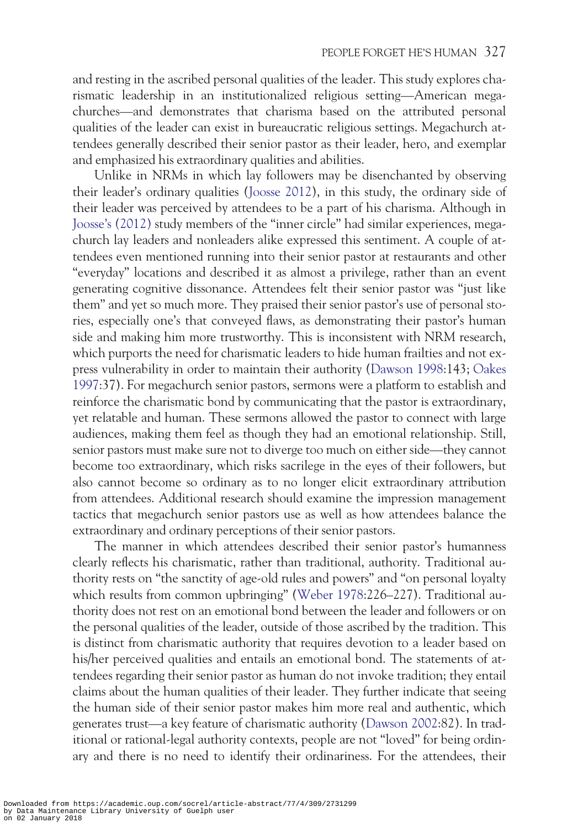and resting in the ascribed personal qualities of the leader. This study explores charismatic leadership in an institutionalized religious setting—American megachurches—and demonstrates that charisma based on the attributed personal qualities of the leader can exist in bureaucratic religious settings. Megachurch attendees generally described their senior pastor as their leader, hero, and exemplar and emphasized his extraordinary qualities and abilities.

Unlike in NRMs in which lay followers may be disenchanted by observing their leader's ordinary qualities [\(Joosse 2012](#page-21-0)), in this study, the ordinary side of their leader was perceived by attendees to be a part of his charisma. Although in [Joosse's \(2012\)](#page-21-0) study members of the "inner circle" had similar experiences, megachurch lay leaders and nonleaders alike expressed this sentiment. A couple of attendees even mentioned running into their senior pastor at restaurants and other "everyday" locations and described it as almost a privilege, rather than an event generating cognitive dissonance. Attendees felt their senior pastor was "just like them" and yet so much more. They praised their senior pastor's use of personal stories, especially one's that conveyed flaws, as demonstrating their pastor's human side and making him more trustworthy. This is inconsistent with NRM research, which purports the need for charismatic leaders to hide human frailties and not express vulnerability in order to maintain their authority [\(Dawson 1998](#page-21-0):143; [Oakes](#page-22-0) [1997:](#page-22-0)37). For megachurch senior pastors, sermons were a platform to establish and reinforce the charismatic bond by communicating that the pastor is extraordinary, yet relatable and human. These sermons allowed the pastor to connect with large audiences, making them feel as though they had an emotional relationship. Still, senior pastors must make sure not to diverge too much on either side—they cannot become too extraordinary, which risks sacrilege in the eyes of their followers, but also cannot become so ordinary as to no longer elicit extraordinary attribution from attendees. Additional research should examine the impression management tactics that megachurch senior pastors use as well as how attendees balance the extraordinary and ordinary perceptions of their senior pastors.

The manner in which attendees described their senior pastor's humanness clearly reflects his charismatic, rather than traditional, authority. Traditional authority rests on "the sanctity of age-old rules and powers" and "on personal loyalty which results from common upbringing" ([Weber 1978](#page-23-0):226–227). Traditional authority does not rest on an emotional bond between the leader and followers or on the personal qualities of the leader, outside of those ascribed by the tradition. This is distinct from charismatic authority that requires devotion to a leader based on his/her perceived qualities and entails an emotional bond. The statements of attendees regarding their senior pastor as human do not invoke tradition; they entail claims about the human qualities of their leader. They further indicate that seeing the human side of their senior pastor makes him more real and authentic, which generates trust—a key feature of charismatic authority [\(Dawson 2002:](#page-21-0)82). In traditional or rational-legal authority contexts, people are not "loved" for being ordinary and there is no need to identify their ordinariness. For the attendees, their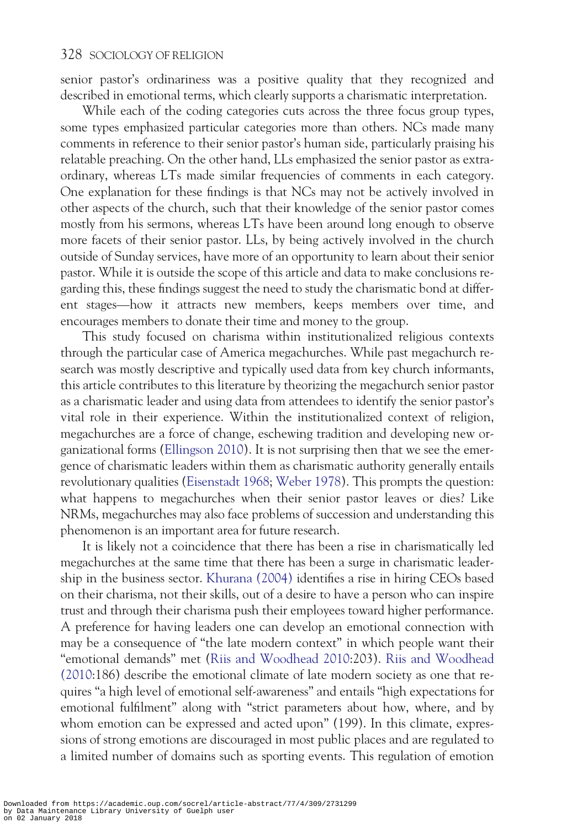senior pastor's ordinariness was a positive quality that they recognized and described in emotional terms, which clearly supports a charismatic interpretation.

While each of the coding categories cuts across the three focus group types, some types emphasized particular categories more than others. NCs made many comments in reference to their senior pastor's human side, particularly praising his relatable preaching. On the other hand, LLs emphasized the senior pastor as extraordinary, whereas LTs made similar frequencies of comments in each category. One explanation for these findings is that NCs may not be actively involved in other aspects of the church, such that their knowledge of the senior pastor comes mostly from his sermons, whereas LTs have been around long enough to observe more facets of their senior pastor. LLs, by being actively involved in the church outside of Sunday services, have more of an opportunity to learn about their senior pastor. While it is outside the scope of this article and data to make conclusions regarding this, these findings suggest the need to study the charismatic bond at different stages—how it attracts new members, keeps members over time, and encourages members to donate their time and money to the group.

This study focused on charisma within institutionalized religious contexts through the particular case of America megachurches. While past megachurch research was mostly descriptive and typically used data from key church informants, this article contributes to this literature by theorizing the megachurch senior pastor as a charismatic leader and using data from attendees to identify the senior pastor's vital role in their experience. Within the institutionalized context of religion, megachurches are a force of change, eschewing tradition and developing new organizational forms ([Ellingson 2010](#page-21-0)). It is not surprising then that we see the emergence of charismatic leaders within them as charismatic authority generally entails revolutionary qualities [\(Eisenstadt 1968;](#page-21-0) [Weber 1978\)](#page-23-0). This prompts the question: what happens to megachurches when their senior pastor leaves or dies? Like NRMs, megachurches may also face problems of succession and understanding this phenomenon is an important area for future research.

It is likely not a coincidence that there has been a rise in charismatically led megachurches at the same time that there has been a surge in charismatic leadership in the business sector. [Khurana \(2004\)](#page-22-0) identifies a rise in hiring CEOs based on their charisma, not their skills, out of a desire to have a person who can inspire trust and through their charisma push their employees toward higher performance. A preference for having leaders one can develop an emotional connection with may be a consequence of "the late modern context" in which people want their "emotional demands" met ([Riis and Woodhead 2010:](#page-22-0)203). [Riis and Woodhead](#page-22-0) [\(2010](#page-22-0):186) describe the emotional climate of late modern society as one that requires "a high level of emotional self-awareness" and entails "high expectations for emotional fulfilment" along with "strict parameters about how, where, and by whom emotion can be expressed and acted upon" (199). In this climate, expressions of strong emotions are discouraged in most public places and are regulated to a limited number of domains such as sporting events. This regulation of emotion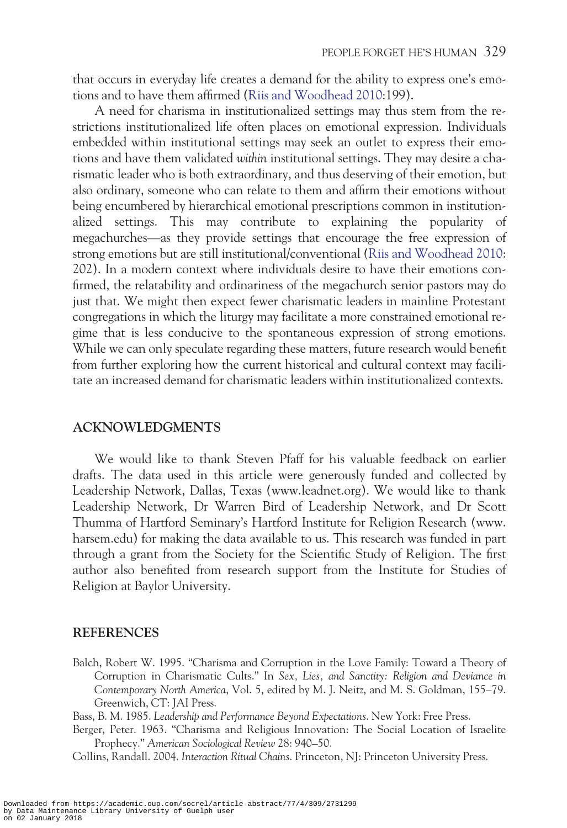<span id="page-20-0"></span>that occurs in everyday life creates a demand for the ability to express one's emotions and to have them affirmed [\(Riis and Woodhead 2010:](#page-22-0)199).

A need for charisma in institutionalized settings may thus stem from the restrictions institutionalized life often places on emotional expression. Individuals embedded within institutional settings may seek an outlet to express their emotions and have them validated within institutional settings. They may desire a charismatic leader who is both extraordinary, and thus deserving of their emotion, but also ordinary, someone who can relate to them and affirm their emotions without being encumbered by hierarchical emotional prescriptions common in institutionalized settings. This may contribute to explaining the popularity of megachurches—as they provide settings that encourage the free expression of strong emotions but are still institutional/conventional [\(Riis and Woodhead 2010](#page-22-0): 202). In a modern context where individuals desire to have their emotions confirmed, the relatability and ordinariness of the megachurch senior pastors may do just that. We might then expect fewer charismatic leaders in mainline Protestant congregations in which the liturgy may facilitate a more constrained emotional regime that is less conducive to the spontaneous expression of strong emotions. While we can only speculate regarding these matters, future research would benefit from further exploring how the current historical and cultural context may facilitate an increased demand for charismatic leaders within institutionalized contexts.

#### ACKNOWLEDGMENTS

We would like to thank Steven Pfaff for his valuable feedback on earlier drafts. The data used in this article were generously funded and collected by Leadership Network, Dallas, Texas [\(www.leadnet.org](http://www.leadnet.org)). We would like to thank Leadership Network, Dr Warren Bird of Leadership Network, and Dr Scott Thumma of Hartford Seminary's Hartford Institute for Religion Research [\(www.](http://www.harsem.edu) [harsem.edu\)](http://www.harsem.edu) for making the data available to us. This research was funded in part through a grant from the Society for the Scientific Study of Religion. The first author also benefited from research support from the Institute for Studies of Religion at Baylor University.

#### **REFERENCES**

- Balch, Robert W. 1995. "Charisma and Corruption in the Love Family: Toward a Theory of Corruption in Charismatic Cults." In Sex, Lies, and Sanctity: Religion and Deviance in Contemporary North America, Vol. 5, edited by M. J. Neitz, and M. S. Goldman, 155–79. Greenwich, CT: JAI Press.
- Bass, B. M. 1985. Leadership and Performance Beyond Expectations. New York: Free Press.
- Berger, Peter. 1963. "Charisma and Religious Innovation: The Social Location of Israelite Prophecy." American Sociological Review 28: 940–50.

Collins, Randall. 2004. Interaction Ritual Chains. Princeton, NJ: Princeton University Press.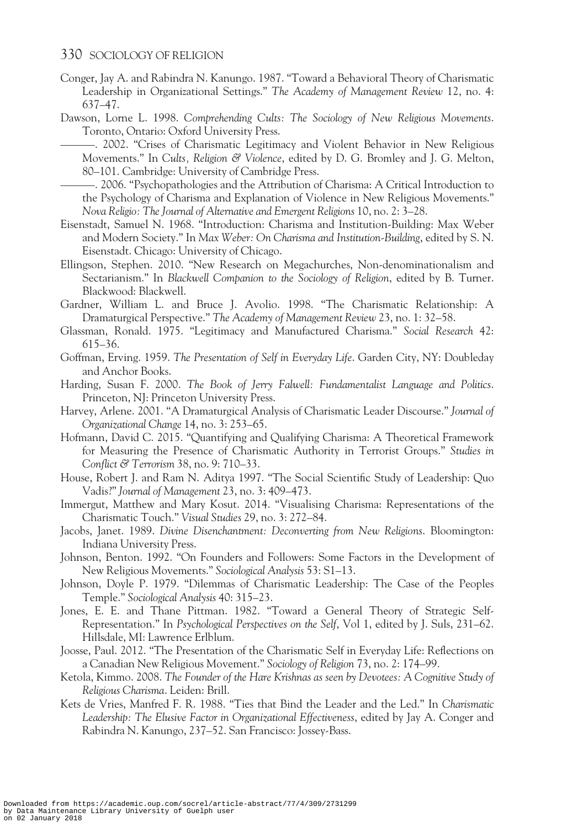- <span id="page-21-0"></span>Conger, Jay A. and Rabindra N. Kanungo. 1987. "Toward a Behavioral Theory of Charismatic Leadership in Organizational Settings." The Academy of Management Review 12, no. 4: 637–47.
- Dawson, Lorne L. 1998. Comprehending Cults: The Sociology of New Religious Movements. Toronto, Ontario: Oxford University Press.

———. 2002. "Crises of Charismatic Legitimacy and Violent Behavior in New Religious Movements." In Cults, Religion & Violence, edited by D. G. Bromley and J. G. Melton, 80–101. Cambridge: University of Cambridge Press.

———. 2006. "Psychopathologies and the Attribution of Charisma: A Critical Introduction to the Psychology of Charisma and Explanation of Violence in New Religious Movements." Nova Religio: The Journal of Alternative and Emergent Religions 10, no. 2: 3–28.

- Eisenstadt, Samuel N. 1968. "Introduction: Charisma and Institution-Building: Max Weber and Modern Society." In Max Weber: On Charisma and Institution-Building, edited by S. N. Eisenstadt. Chicago: University of Chicago.
- Ellingson, Stephen. 2010. "New Research on Megachurches, Non-denominationalism and Sectarianism." In Blackwell Companion to the Sociology of Religion, edited by B. Turner. Blackwood: Blackwell.

Gardner, William L. and Bruce J. Avolio. 1998. "The Charismatic Relationship: A Dramaturgical Perspective." The Academy of Management Review 23, no. 1: 32–58.

- Glassman, Ronald. 1975. "Legitimacy and Manufactured Charisma." Social Research 42: 615–36.
- Goffman, Erving. 1959. The Presentation of Self in Everyday Life. Garden City, NY: Doubleday and Anchor Books.
- Harding, Susan F. 2000. The Book of Jerry Falwell: Fundamentalist Language and Politics. Princeton, NJ: Princeton University Press.
- Harvey, Arlene. 2001. "A Dramaturgical Analysis of Charismatic Leader Discourse." Journal of Organizational Change 14, no. 3: 253–65.
- Hofmann, David C. 2015. "Quantifying and Qualifying Charisma: A Theoretical Framework for Measuring the Presence of Charismatic Authority in Terrorist Groups." Studies in Conflict & Terrorism 38, no. 9: 710–33.
- House, Robert J. and Ram N. Aditya 1997. "The Social Scientific Study of Leadership: Quo Vadis?" Journal of Management 23, no. 3: 409–473.
- Immergut, Matthew and Mary Kosut. 2014. "Visualising Charisma: Representations of the Charismatic Touch." Visual Studies 29, no. 3: 272–84.
- Jacobs, Janet. 1989. Divine Disenchantment: Deconverting from New Religions. Bloomington: Indiana University Press.
- Johnson, Benton. 1992. "On Founders and Followers: Some Factors in the Development of New Religious Movements." Sociological Analysis 53: S1–13.
- Johnson, Doyle P. 1979. "Dilemmas of Charismatic Leadership: The Case of the Peoples Temple." Sociological Analysis 40: 315–23.
- Jones, E. E. and Thane Pittman. 1982. "Toward a General Theory of Strategic Self-Representation." In Psychological Perspectives on the Self, Vol 1, edited by J. Suls, 231–62. Hillsdale, MI: Lawrence Erlblum.
- Joosse, Paul. 2012. "The Presentation of the Charismatic Self in Everyday Life: Reflections on a Canadian New Religious Movement." Sociology of Religion 73, no. 2: 174–99.
- Ketola, Kimmo. 2008. The Founder of the Hare Krishnas as seen by Devotees: A Cognitive Study of Religious Charisma. Leiden: Brill.
- Kets de Vries, Manfred F. R. 1988. "Ties that Bind the Leader and the Led." In Charismatic Leadership: The Elusive Factor in Organizational Effectiveness, edited by Jay A. Conger and Rabindra N. Kanungo, 237–52. San Francisco: Jossey-Bass.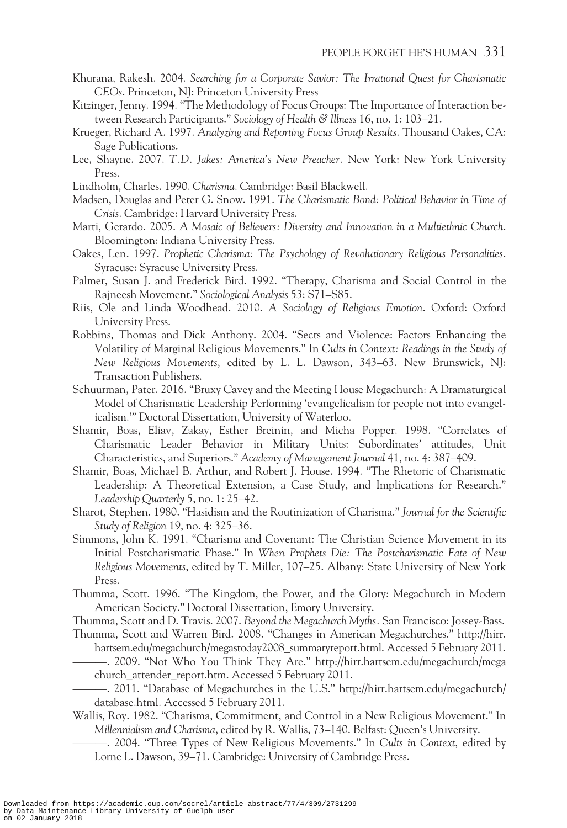- <span id="page-22-0"></span>Khurana, Rakesh. 2004. Searching for a Corporate Savior: The Irrational Quest for Charismatic CEOs. Princeton, NJ: Princeton University Press
- Kitzinger, Jenny. 1994. "The Methodology of Focus Groups: The Importance of Interaction between Research Participants." Sociology of Health & Illness 16, no. 1: 103–21.
- Krueger, Richard A. 1997. Analyzing and Reporting Focus Group Results. Thousand Oakes, CA: Sage Publications.
- Lee, Shayne. 2007. T.D. Jakes: America's New Preacher. New York: New York University Press.
- Lindholm, Charles. 1990. Charisma. Cambridge: Basil Blackwell.
- Madsen, Douglas and Peter G. Snow. 1991. The Charismatic Bond: Political Behavior in Time of Crisis. Cambridge: Harvard University Press.
- Marti, Gerardo. 2005. A Mosaic of Believers: Diversity and Innovation in a Multiethnic Church. Bloomington: Indiana University Press.
- Oakes, Len. 1997. Prophetic Charisma: The Psychology of Revolutionary Religious Personalities. Syracuse: Syracuse University Press.
- Palmer, Susan J. and Frederick Bird. 1992. "Therapy, Charisma and Social Control in the Rajneesh Movement." Sociological Analysis 53: S71–S85.
- Riis, Ole and Linda Woodhead. 2010. A Sociology of Religious Emotion. Oxford: Oxford University Press.
- Robbins, Thomas and Dick Anthony. 2004. "Sects and Violence: Factors Enhancing the Volatility of Marginal Religious Movements." In Cults in Context: Readings in the Study of New Religious Movements, edited by L. L. Dawson, 343–63. New Brunswick, NJ: Transaction Publishers.
- Schuurman, Pater. 2016. "Bruxy Cavey and the Meeting House Megachurch: A Dramaturgical Model of Charismatic Leadership Performing 'evangelicalism for people not into evangelicalism.'" Doctoral Dissertation, University of Waterloo.
- Shamir, Boas, Eliav, Zakay, Esther Breinin, and Micha Popper. 1998. "Correlates of Charismatic Leader Behavior in Military Units: Subordinates' attitudes, Unit Characteristics, and Superiors." Academy of Management Journal 41, no. 4: 387–409.
- Shamir, Boas, Michael B. Arthur, and Robert J. House. 1994. "The Rhetoric of Charismatic Leadership: A Theoretical Extension, a Case Study, and Implications for Research." Leadership Quarterly 5, no. 1: 25–42.
- Sharot, Stephen. 1980. "Hasidism and the Routinization of Charisma." Journal for the Scientific Study of Religion 19, no. 4: 325–36.
- Simmons, John K. 1991. "Charisma and Covenant: The Christian Science Movement in its Initial Postcharismatic Phase." In When Prophets Die: The Postcharismatic Fate of New Religious Movements, edited by T. Miller, 107–25. Albany: State University of New York Press.
- Thumma, Scott. 1996. "The Kingdom, the Power, and the Glory: Megachurch in Modern American Society." Doctoral Dissertation, Emory University.

Thumma, Scott and D. Travis. 2007. Beyond the Megachurch Myths. San Francisco: Jossey-Bass.

- Thumma, Scott and Warren Bird. 2008. "Changes in American Megachurches." [http://hirr.](http://hirr.hartsem.edu/megachurch/megastoday2008_summaryreport.html) [hartsem.edu/megachurch/megastoday2008\\_summaryreport.html](http://hirr.hartsem.edu/megachurch/megastoday2008_summaryreport.html). Accessed 5 February 2011. ———. 2009. "Not Who You Think They Are." [http://hirr.hartsem.edu/megachurch/mega](http://hirr.hartsem.edu/megachurch/megachurch_attender_report.htm) church attender report.htm. Accessed 5 February 2011.
	- ———. 2011. "Database of Megachurches in the U.S." [http://hirr.hartsem.edu/megachurch/](http://hirr.hartsem.edu/megachurch/database.html) [database.html.](http://hirr.hartsem.edu/megachurch/database.html) Accessed 5 February 2011.
- Wallis, Roy. 1982. "Charisma, Commitment, and Control in a New Religious Movement." In Millennialism and Charisma, edited by R. Wallis, 73–140. Belfast: Queen's University.
	- ———. 2004. "Three Types of New Religious Movements." In Cults in Context, edited by Lorne L. Dawson, 39–71. Cambridge: University of Cambridge Press.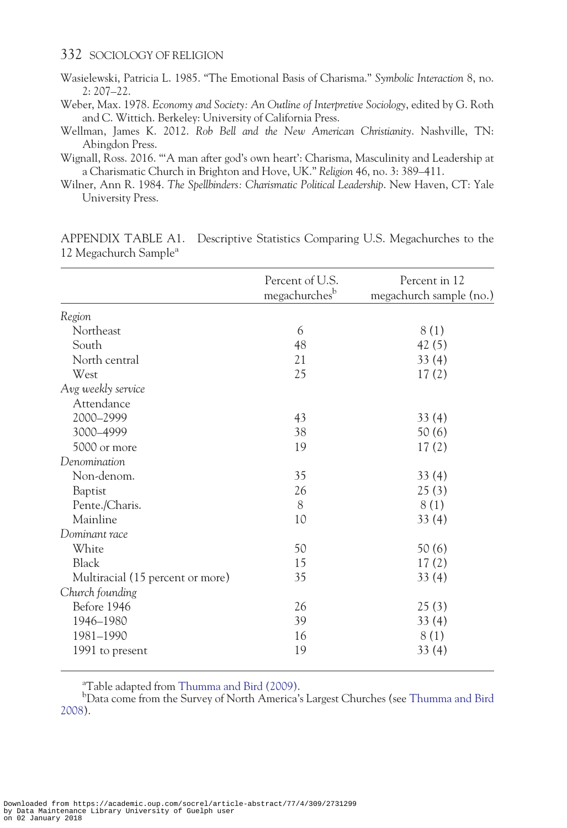<span id="page-23-0"></span>Wasielewski, Patricia L. 1985. "The Emotional Basis of Charisma." Symbolic Interaction 8, no. 2: 207–22.

Weber, Max. 1978. Economy and Society: An Outline of Interpretive Sociology, edited by G. Roth and C. Wittich. Berkeley: University of California Press.

Wellman, James K. 2012. Rob Bell and the New American Christianity. Nashville, TN: Abingdon Press.

Wignall, Ross. 2016. "'A man after god's own heart': Charisma, Masculinity and Leadership at a Charismatic Church in Brighton and Hove, UK." Religion 46, no. 3: 389–411.

Wilner, Ann R. 1984. The Spellbinders: Charismatic Political Leadership. New Haven, CT: Yale University Press.

APPENDIX TABLE A1. Descriptive Statistics Comparing U.S. Megachurches to the 12 Megachurch Sample<sup>a</sup>

|                                  | Percent of U.S.<br>megachurches <sup>b</sup> | Percent in 12<br>megachurch sample (no.) |
|----------------------------------|----------------------------------------------|------------------------------------------|
| Region                           |                                              |                                          |
| Northeast                        | 6                                            | 8(1)                                     |
| South                            | 48                                           | 42(5)                                    |
| North central                    | 21                                           | 33(4)                                    |
| West                             | 25                                           | 17(2)                                    |
| Avg weekly service               |                                              |                                          |
| Attendance                       |                                              |                                          |
| 2000-2999                        | 43                                           | 33(4)                                    |
| 3000-4999                        | 38                                           | 50(6)                                    |
| 5000 or more                     | 19                                           | 17(2)                                    |
| Denomination                     |                                              |                                          |
| Non-denom.                       | 35                                           | 33(4)                                    |
| Baptist                          | 26                                           | 25(3)                                    |
| Pente./Charis.                   | 8                                            | 8(1)                                     |
| Mainline                         | 10                                           | 33(4)                                    |
| Dominant race                    |                                              |                                          |
| White                            | 50                                           | 50(6)                                    |
| <b>Black</b>                     | 15                                           | 17(2)                                    |
| Multiracial (15 percent or more) | 35                                           | 33(4)                                    |
| Church founding                  |                                              |                                          |
| Before 1946                      | 26                                           | 25(3)                                    |
| 1946-1980                        | 39                                           | 33(4)                                    |
| 1981-1990                        | 16                                           | 8(1)                                     |
| 1991 to present                  | 19                                           | 33(4)                                    |

<sup>a</sup>Table adapted from [Thumma and Bird \(2009\).](#page-22-0)

bData come from the Survey of North America's Largest Churches (see [Thumma and Bird](#page-22-0) [2008](#page-22-0)).